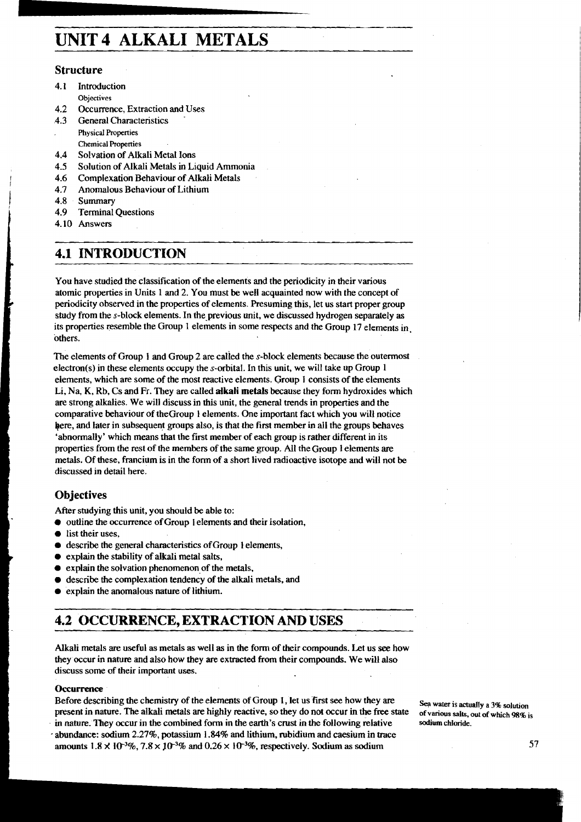# **UNIT4 ALKALI METALS**

#### **Structure**

- 4.1 Introduction **Objectives**
- 4.2 Occurrence, Extraction and Uses<br>4.3 General Characteristics
- General Characteristics **Physical Properties**
- **Chemical Properties**
- **4.4** Solvation of Alkali Metal Ions
- **4.5** Solution of Alkali Metals in Liquid Ammonia
- **4.6** Complexation Behaviour of Alkali Metals
- 1.7 Anomalous Behaviour of Lithium<br>
1.8 Summary<br>
1.9 Terminal Ouestions
- **4.8** Summary
- **Terminal Questions**
- **4.10** Answers

### **4.1 INTRODUCTION**

You have studied the classification of the elements and the periodicity in their various atomic properties in Units 1 and 2. You must be well acquainted now with the concept of **<sup>P</sup>**periodicity observed in the properties of elements. Presuming this, let us start proper group study from the s-block elements. In the previous unit, we discussed hydrogen separately as its properties resemble the Group **1** elements in some respects and the Group 17 elements in others.

---

The elements of Group 1 and Group **2** are calied the s-block elements because the outermost electron(s) in these elements occupy the s-orbital. In this unit, we will take up Group 1 elements, which are some of the most reactive elements. Group **1** consists of the elements Li, Na, K, Rb, Cs and Fr. They are called **alkali** metals because they form hydroxides which **are** strong alkalies. We will discuss in this unit, the general trends in properties and the comparative behaviour of theGroup 1 elements. One important fact which you will notice here, and later in subsequent groups also, is that the first member in all the groups behaves 'abnormally' which means that the first member of each group is rather different in its properties from the rest of the members of the same group. All the Group 1 elements are metals. Of these, francium is in the form of a short lived radioactive isotope and will not be discussed in detail here.

### **Objectives**

After studying this unit, you should be able to:

- $\bullet$  outline the occurrence of Group 1 elements and their isolation,
- list their uses.
- describe the general characteristics of Group 1 elements,  $\bullet$
- **1** explain the stability of alkali metal salts,
- $\bullet$  explain the solvation phenomenon of the metals,
- describe the complexation tendency of the alkali metals, and
- explain the anomalous nature of lithium.

### **4.2 OCCURRENCE, EXTRACTION AND USES**

Alkali metals are useful **as** metals **as** well as in the form of their compounds. Let us **see** how <sup>I</sup> they occur in nature and also how they **are** extracted from their compounds. We will also discuss some of their important uses.

#### <sup>I</sup>**Occurrence**

Before describing the chemistry of the elements of Group 1, let us first see how they are Sea water is actually a 3% solution present in nature. The alkali metals are highly reactive, so they do not occur in the free state present in nature. The alkali metals **are** highly reactive, so they do not occur in the free state **ofvarious salts, out of which 98% is in** nature. They occur in the combined form in the earth's crust in the following relative **sodium chloride.**  - abundance: sodium **2.2796,** potassium 1.84% and lithium, rubidium and caesium in trace amounts  $1.8 \times 10^{-3}\%$ ,  $7.8 \times 10^{-3}\%$  and  $0.26 \times 10^{-3}\%$ , respectively. Sodium as sodium **57**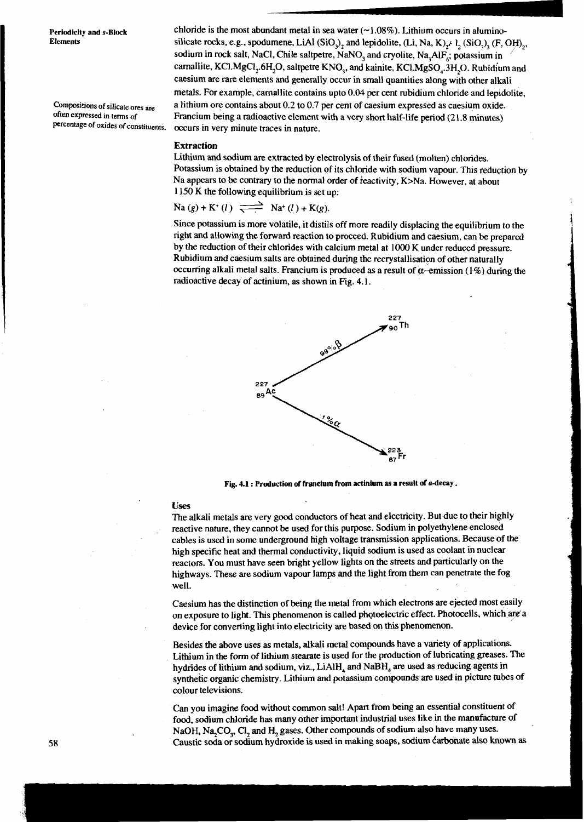Periodicity and s-Block **chloride is the most abundant metal in sea water** (~1.08%). Lithium occurs in alumino-<br>Elements silicate rocks e.g., spodumene LiAl (SiO) and lepidolite (Li Na K) (1.0) (E G) **Elements** silicate rocks, **e.g.,** spodumene, LiAl (SiO,), and lepidolite, **(Li,** Na, **K)f** 1, (SiO,), **(F,** OF),, sodium in rock salt, NaCl, Chile saltpetre, NaNO<sub>3</sub> and cryolite, Na<sub>3</sub>AlF<sub>6</sub>; potassium in carnallite, KCl.MgCl<sub>2</sub>.6H<sub>2</sub>O, saltpetre KNO<sub>3</sub>, and kainite, KCl.MgSO<sub>4</sub>.3H<sub>2</sub>O. Rubidium and caesium are rare elements and generally occur in small quantities along with other alkali metals. For example, camallite contains upto 0.04 per cent rubidium chloride and lepidolite, **Compositions of silicate are** a lithium ore contains about 0.2 to 0.7 per cent of caesium expressed as caesium oxide. **often expressed in terms of** Francium being a radioactive element with a very short half-life period (2 1.8 minutes) **percentage of our** *pery minute traces in nature*.

#### Extraction

Lithium and sodium are extracted by electrolysis of their fused (molten) chlorides. Potassium is obtained by the reduction of its chloride with sodium vapour. This reduction by Na appears to be contrary to the normal order of reactivity, K>Na. However, at about 1150 K the following equilibrium is set up:<br>Na  $(g) + K^+(l) \xrightarrow{\longrightarrow} Na^+(l) + K(g)$ . 1 150 K the following equilibrium is set up:

Since potassium is more volatile, it distils off more readily displacing the equilibrium to the right and allowing the forward reaction to proceed. Rubidium and caesium, can be prepared by the reduction of their chlorides with calcium metal at 1000 K under reduced pressure. Rubidium and caesium salts are obtained during the recrystallisation of other naturally occurring alkali metal salts. Francium is produced as a result of  $\alpha$ -emission (1%) during the radioactive decay of actinium, as shown in Fig. 4.1.



**Fig. 4.1** : **Production of francium from actinium ils a result of a-decay** .

#### **uses**

The alkali metals are very good conductors of heat and electricity. But due to their highly reactive nature, they cannot be used for this purpose. Sodium in polyethylene enclosed cables is used in some underground high voltage transmission applications. Because of the high specific heat and thermal conductivity, liquid sodium is used as coolant in nuclear reactors. You must have seen bright yellow lights on the streets and particularly on the highways. These are sodium vapour lamps and the light from them can penetrate the fog well.

Caesium has the distinction of being the metal from which electrons are ejected most easily on exposure to light. This phenomenon is called photoelectric effect. Photocells, which are a device for converting light into electricity are based on this phenomenon.

Besides the above uses as metals, alkali metal compounds have a variety of applications. Lithium in the form of lithium stearate is used for the production of lubricating greases. The hydrides of lithium and sodium, viz., LiAlH<sub>4</sub> and NaBH<sub>4</sub> are used as reducing agents in synthetic organic chemistry. Lithium and potassium compounds are used in picture tubes of colour televisions.

Can you imagine food without common salt! Apart from being an essential constituent of food, sodium chloride has many other important industrial uses like in the manufacture of NaOH, Na<sub>2</sub>CO<sub>3</sub>, Cl<sub>2</sub> and H<sub>2</sub> gases. Other compounds of sodium also have many uses. Caustic soda or sodium hydroxide is used in making soaps, sodium **Carbonate** also known as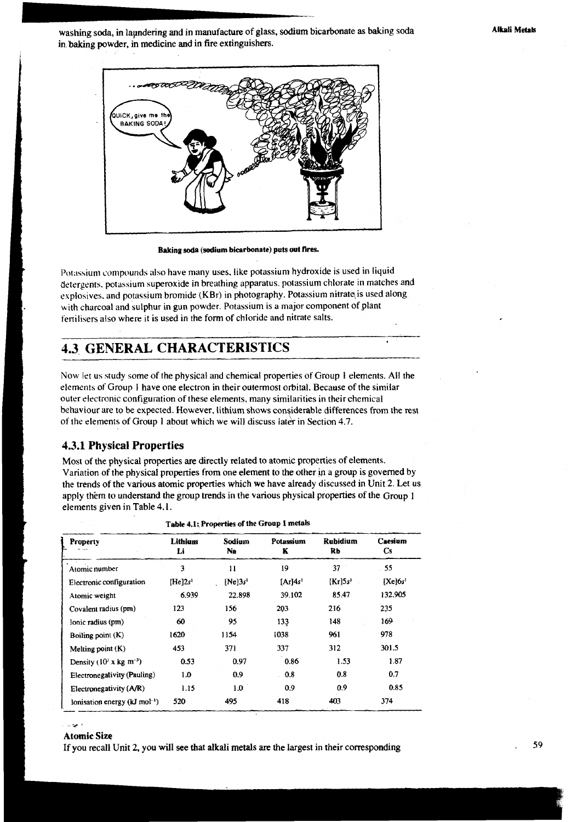washing soda, in lapndering and in manufacture of glass, sodium bicarbonate as baking soda in baking powder, in medicine and in fire extinguishers.



Baking soda (sodium bicarbonate) puts out fires.

Potassium compounds also have many uses, like potassium hydroxide is used in liquid detergents, potassium superoxide in breathing apparatus, potassium chlorate in matches and explosives, and potassium bromide (KBr) in photography. Potassium nitrate is used along with charcoal and sulphur in gun powder. Potassium is a major component of plant fertilisers also where it is used in the form of chloride and nitrate salts.

### **4.3. GENERAL CHARACTERISTICS**

NOW let us study some of the physical and chemical properties of Group I elements. All the elements of Group I have one electron in their outermost orbital. Because of the similar outer electronic configuration of these elements, many similarities in their chemical behaviour are to be expected. However, lithium shows considerable differences from the rest of the elements of Group 1 about which we will discuss later in Section 4.7.

### 4.3.1 **Physical Properties**

i

Most of the physical properties are directly related to atomic properties of elements. Variation of the physical properties from one element to the other **in** a group is governed by the trends of the various atomic properties which we have already discussed in Unit 2. Let us apply them to understand the group trends in the various physical properties of the Group 1 elements given in Table 4.1.

| Property                                    | Lithium<br>Li       | Sodium<br>Na        | Potassium<br>K | <b>Rubidium</b><br>Rb | Caesium<br>Cs |
|---------------------------------------------|---------------------|---------------------|----------------|-----------------------|---------------|
| Atomic number                               | 3                   | $\mathbf{H}$        | 19             | 37                    | .55           |
| Electronic configuration                    | [He]2s <sup>1</sup> | [Ne]3s <sup>1</sup> | [Ar]4s'        | $[Kr]$ 5s'            | $[Xc]$ 6 $s1$ |
| Atomic weight                               | 6.939               | 22.898              | 39.102         | 85.47                 | 132.905       |
| Covalent radius (pm)                        | 123                 | 156                 | 203            | 216                   | 235           |
| Ionic radius (pm)                           | 60                  | 95                  | 133            | 148                   | 169           |
| Boiling point $(K)$                         | 1620                | 1154                | 1038           | 961                   | 978           |
| Melting point $(K)$                         | 453                 | 371                 | 337            | 312                   | 301.5         |
| Density ( $103$ x kg m <sup>-3</sup> )      | 0.53                | 0.97                | 0.86           | 1.53                  | 1.87          |
| Electronegativity (Pauling)                 | 1.0                 | 0.9                 | 0.8            | 0.8                   | 0.7           |
| Electronegativity (A/R)                     | 1.15                | 1.0                 | 0.9            | 0.9                   | 0.85          |
| lonisation energy ( $kJ \text{ mol}^{-1}$ ) | 520                 | 495                 | 418            | 403                   | 374           |

**Table 4.1; Properties of the Group 1 metals** 

#### .. .\* , Atomic Size

If you recall Unit 2, you will see that alkali metals are the largest in their corresponding . **<sup>59</sup>**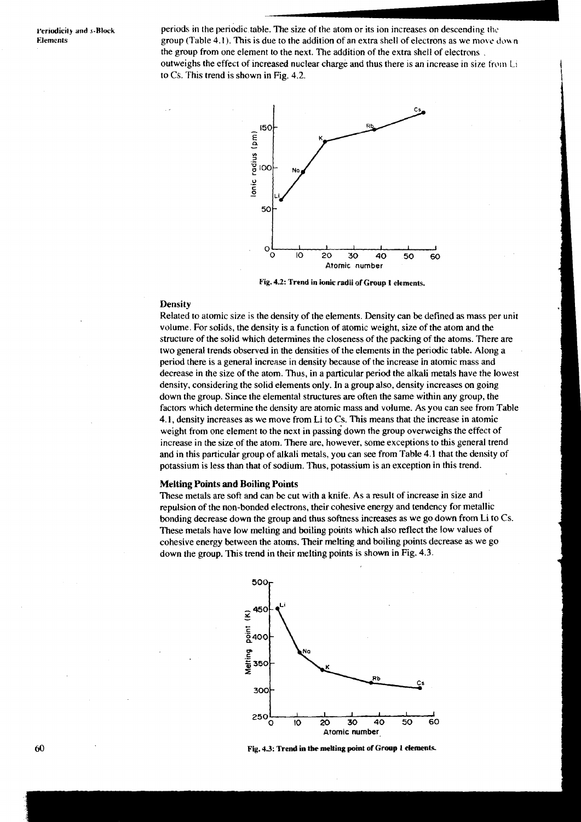periods in the periodic table. The size of the atom or its ion increases on descending **rhr.**  group (Table 4.1). This is due to the addition of an extra shell of electrons as we move down the group from one element to the next. The addition of the extra shell of electrons . outweighs the effect of increased nuclear charge and thus there is an increase in size from Li to  $Cs$ . This trend is shown in Fig. 4.2.



**Fig. 4.2: Trend in ionic radii of Group I elements.** 

#### **Density**

Related to atomic size is the density of the elements. Density can be defined as mass per unit volume. For solids, the density is a function of atomic weight, size of the atom and the structure of the solid which determines the closeness of the packing of the atoms. There are two general trends observed in the densities of the elements in the periodic table. Along a period there is a general increase in density because of the increase in atomic mass and decrease in the size of the atom. Thus, in a particular period the alkali metals have the lowest density, considering the solid elements only. In a group also, density increases on going down the group. Since the elemental structures are often the same within any group, the factors which determine the density are atomic mass and volume. As you can see from Table 4.1, density increases as we move from Li to Cs. This means that the increase in atomic weight from one element to the next in passing down the group overweighs the effect of increase in the size of the atom. There are, however, some exceptions to this general trend and in this particular group of alkali metals, you can see from Table 4.1 that the density of potassium is less than that of sodium. Thus, potassium is an exception in this trend.

#### **Melting Points and Boiling Points**

These metals are soft and can be cut with a knife. As a result of increase in size and repulsion of the non-bonded electrons, their cohesive energy and tendency for metallic bonding decrease down the group and thus softness increases as we go down from Li to Cs. These metals have low melting and boiling points which also reflect the low values of cohesive energy between the atoms. Their melting and boiling points decrease as we go down the group. This trend in their melting points is shown in Fig. 4.3.



60 **Fig. 4.3: Trend in the melting point of Group 1 elemenlc**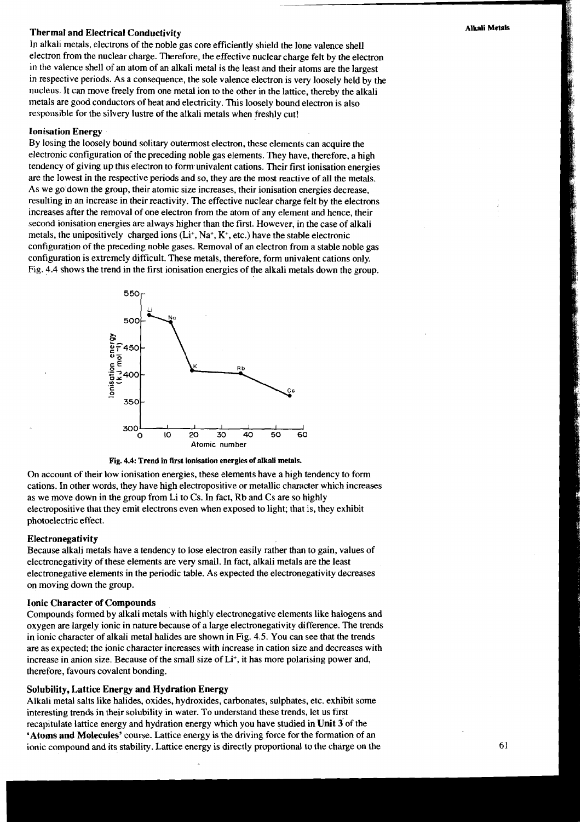### **Thermal and Electrical Conductivity Alkali Metals**

In alkali metals, electrons of the noble gas core efficiently shield the lone valence shell electron from the nuclear charge. Therefore, the effective nuclear charge felt by the electron in the valence shell of an atom of an alkali metal is the least and their atoms are the largest in respective periods. As a consequence, the sole valence electron is very loosely held by the nucleus. It can move freely from one metal ion to the other in the lattice, thereby the alkali metals are good conductors of heat and electricity. This loosely bound electron is also responsible for the silvery lustre of the alkali metals when freshly cut!

#### **Ionisation Energy**

By losing the loosely bound solitary outermost electron, these elements can acquire the electronic configuration of the preceding noble gas elements. They have, therefore, a high tendency of giving up this electron to fomunivalent cations. Their first ionisation energies are the lowest in the respective periods and so, they are the most reactive of all the metals. As we go down the group, their atomic size increases, their ionisation energies decrease, resulting in an increase in their reactivity. The effective nuclear charge felt by the electrons increases after the removal of one electron from the atom of any element and hence, their second ionisation energies are always higher than the first. However, in the case of alkali metals, the unipositively charged ions  $(L<sup>i</sup>, Na<sup>+</sup>, K<sup>+</sup>, etc.)$  have the stable electronic configuration of the preceding noble gases. Removal of an electron from a stable noble gas configuration is extremely difficult. These metals, therefore, form univalent cations only. Fig. 4.4 shows the trend in the first ionisation energies of the alkali metals down the group.



#### **Fig. 4.4: Trend in first ionisation energies of alkali metals.**

On account of their low ionisation energies, these elements have a high tendency to form cations. In other words, they have high electropositive or metallic character which increases as we move down in the group from Li to Cs. In fact, Rb and Cs are so highly electropositive that they emit electrons even when exposed to light; that is, they exhibit photoelectric effect.

#### **Electronegativity**

Because alkali metals have a tendency to lose electron easily rather than to gain, values of electronegativity of these elements are very small. In fact, alkali metals are the least electronegative elements in the periodic table. As expected the electronegativity decreases on moving down the group.

#### **Ionic Character of Compounds**

Compounds formed by alkali metals with highly electronegative elements like halogens and oxygen are largely ionic in nature because of a large electronegativity difference. The trends in ionic character of alkali metal halides are shown in Fig. 4.5. You can see that the trends are as expected; the ionic character increases with increase in cation size and decreases with increase in anion size. Because of the small size of Li<sup>+</sup>, it has more polarising power and, therefore, favours covalent bonding.

#### **Solubility, Lattice Energy and Hydration Energy**

Alkali metal salts like halides, oxides, hydroxides, carbonates, sulphates, etc. exhibit some interesting trends in their solubility in water. To understand these trends, let us first recapitulate lattice energy and hydration energy which you have studied in **Unit** 3' of the **'Atoms and Molecules'** course. Lattice energy is the driving force for the formation of an ionic compound and its stability. Lattice energy is directly proportional to the charge on the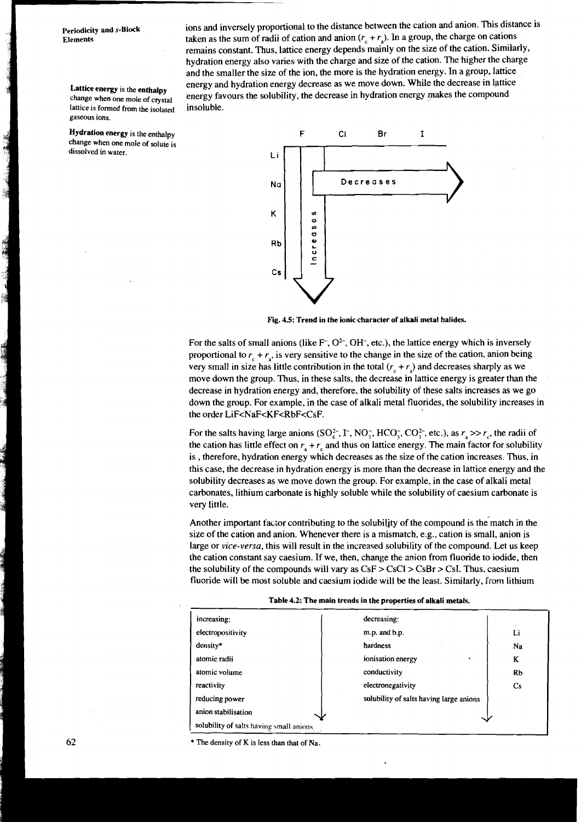lattice is formed from the isolated **gaseous ions.** 

**change when one mole of solute is**  dissolved in water.

**Periodicity and s-Block** ions and inversely proportional to the distance between the cation and anion. This distance is<br>**Elements** taken as the sum of radii of cation and anion  $(r + r)$ . In a group, the charge on cations taken as the sum of radii of cation and anion  $(r + r_0)$ . In a group, the charge on cations remains constant. Thus, lattice energy depends mainly on the size of the cation. Similarly, hydration energy also varies with the charge and size of the cation. The higher the charge and the smaller the size of the ion, the more is the hydration energy. In a group, lattice **Energy and hydration energy decrease as we move down. While the decrease in lattice change when one moie of crystal** energy favours the solubility, the decrease in hydration energy makes the compound energy favours the solubility, the decrease in hydration energy makes the compound insoluble.



**Fig. 4.5: Trend in the ionic character of alkali metal halides.** 

For the salts of small anions (like  $F^{\dagger}$ ,  $O^{2\dagger}$ , OH $^{\dagger}$ , etc.), the lattice energy which is inversely proportional to  $r + r_1$ , is very sensitive to the change in the size of the cation, anion being very small in size has little contribution in the total  $(r_c + r_a)$  and decreases sharply as we move down the group. Thus, in these salts, the decrease in lattice energy is greater than the decrease in hydration energy and, therefore, the solubility of these salts increases as we go down the group. For example, in the case of alkali metal fluorides, the solubility increases in the order LiF<NaF<KF<RbF<CsF.

For the salts having large anions (SO<sub>4</sub><sup>2</sup>, I<sup>-</sup>, NO<sub>3</sub><sup>-</sup>, HCO<sub>3</sub><sup>-</sup>, CO<sub>3</sub><sup>2</sup>, etc.), as  $r_a \gg r_a$ , the radii of the cation has little effect on  $r_a + r_c$  and thus on lattice energy. The main factor for solubility is , therefore, hydration energy which decreases as the size of the cation increases. Thus, in this case, the decrease in hydration energy is more than the decrease in lattice energy and the solubility decreases as we move down the group. For example, in the case of alkali metal carbonates, lithium carbonate is highly soluble while the solubility of caesium carbonate is very little.

Another important factor contributing to the solubility of the compound is the match in the size of the cation and anion. Whenever there is a mismatch, e.g., cation is small, anion is large or vice-versa, this will result in the increased solubility of the compound. Let us keep the cation constant say caesium. If we, then, change the anion from fluoride to iodide, then the solubility of the compounds will vary as  $CsF > CsCl > CsBr > CsI$ . Thus, caesium fluoride will be most soluble and caesium iodide will be the least. Similarly, from lithium

| <b>Lable 4.2: The main trends in the properties of alkall metals.</b> |                                         |                        |  |  |
|-----------------------------------------------------------------------|-----------------------------------------|------------------------|--|--|
| increasing:                                                           | decreasing:                             |                        |  |  |
| electropositivity                                                     | m.p. and b.p.                           | Li                     |  |  |
| density*                                                              | hardness                                | Na                     |  |  |
| atomic radii                                                          | ionisation energy                       | K                      |  |  |
| atomic volume                                                         | conductivity                            | Rb                     |  |  |
| reactivity                                                            | electronegativity                       | $\mathbf{C}\mathbf{s}$ |  |  |
| reducing power                                                        | solubility of salts having large anions |                        |  |  |
| anion stabilisation                                                   |                                         |                        |  |  |
| solubility of salts having small anions.                              |                                         |                        |  |  |

**Table 4.2: The main trends in the properties of alkali metals.** 

\* **The density of K is less than that of Na.**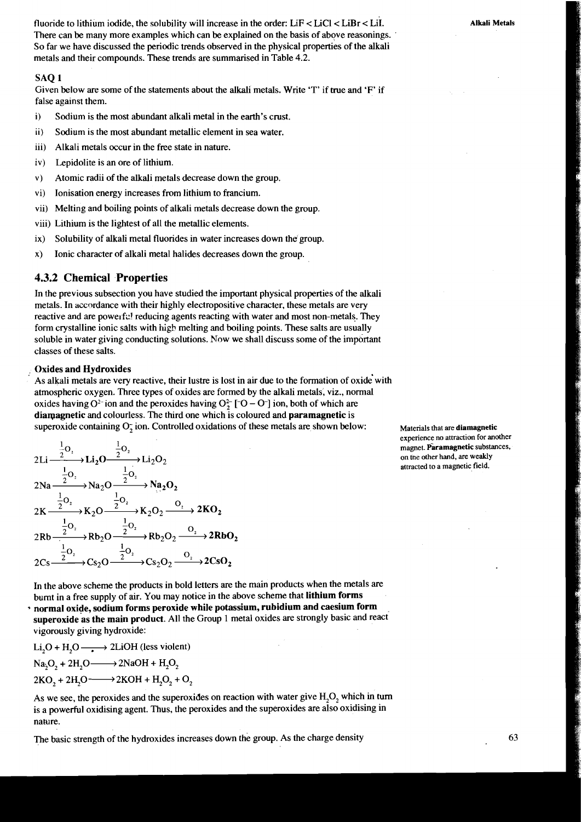fluoride to lithium iodide, the solubility will increase in the order:  $LiF < LiCl < LiBr < LiI$ . There can be many more examples which can be explained on the basis of above reasonings. So far we have discussed the periodic trends observed in the physical properties of the alkali metals and their compounds. These trends are summarised in Table 4.2.

#### SAQ 1

Given below are some of the statements about the alkali metals. Write 'T' if true and 'F' if false against them.

- i) Sodium is the most abundant alkali metal in the earth's crust.
- **ii)** Sodium is the most abundant metallic element in sea water.
- iii) Alkali metals occur in the free state in nature.
- iv) Lepidolite is an ore of lithium.
- V) Atomic radii of the alkali metals decrease down the group.
- vi) Ionisation energy increases from lithium to francium.
- vii) Melting and boiling points of alkali metals decrease down the group.
- viii) Lithium is the lightest of all the metallic elements.
- ix) Solubility of alkali metal fluorides in water increases down the'group.
- x) Ionic character of alkali metal halides decreases down the group.

#### **4.3.2 Chemical Properties**

In the previous subsection you have studied the important physical properties of the alkali metals. In accordance with their highly electropositive character, these metals are very reactive and are powerfu! reducing agents reacting with water and most non-metals. They form crystalline ionic salts with high melting and boiling points. These salts are usually soluble in water giving conducting solutions. Now we shall discuss some of the important classes of these salts.

#### **Oxides and Hydroxides**

As alkali metals are very reactive, their lustre is lost in air due to the formation of oxide'with atmospheric oxygen. Three types of oxides are formed by the alkali metals, viz., normal oxides having  $O^{2-}$  ion and the peroxides having  $O^{2-}$  [ $\overline{O} - \overline{O}$ ] ion, both of which are **dialpagnetic** and colourless. The third one which is coloured and **paramagnetic** is superoxide containing  $O_7$  ion. Controlled oxidations of these metals are shown below: Materials that are **diamagnetic** Oxides and Hydroxides<br>
As alkali metals are very reactive, their lustre is lost in air due to the formation of oxide with<br>
atmospheric oxygen. Three types of oxides are formed by the alkali metals, viz., normal<br>
oxides ha

atmospheric oxygen. Three types of oxides are forms  
\noxides having O<sup>2-</sup> ion and the peroxides having O<sup>2-</sup>  
\ndiamagnetic and colourless. The third one which is  
\nsuperoxide containing O<sub>2</sub> ion. Controlled oxidations  
\n
$$
2Li \xrightarrow{\frac{1}{2}O_2} Li_2O \xrightarrow{\frac{1}{2}O_2} Li_2O_2
$$
\n
$$
2Na \xrightarrow{\frac{1}{2}O_2} Na_2O \xrightarrow{\frac{1}{2}O_2} Na_2O_2
$$
\n
$$
2K \xrightarrow{\frac{1}{2}O_2} K_2O \xrightarrow{\frac{1}{2}O_2} K_2O_2 \xrightarrow{O_2} 2KO_2
$$
\n
$$
2Rb \xrightarrow{\frac{1}{2}O_2} K_2O \xrightarrow{\frac{1}{2}O_2} Rh_2O_2 \xrightarrow{O_2} 2RbO_2
$$
\n
$$
2Cs \xrightarrow{\frac{1}{2}O_2} Cs_2O \xrightarrow{\frac{1}{2}O_2} Cs_2O_2 \xrightarrow{O_2} 2CsO_2
$$

**experience no attraction for another**  magnet. Paramagnetic substances, on the other hand, are weakly **1 1 attracted to a magnetic field.** 

In the above scheme the products in bold letters are the main products when the metals are burnt in a free supply of air. You may notice in the above scheme that **lithium forms**  <sup>+</sup>**normal oxide, sodium forms peroxide while potassium, rubidium and caesium form superoxide as the main product.** All the Group 1 metal oxides are strongly basic and react vigorously giving hydroxide:

 $Li<sub>2</sub>O + H<sub>2</sub>O \longrightarrow 2LiOH$  (less violent)  $Na, O_2 + 2H, O \longrightarrow 2NaOH + H_2O_2$  $2KO_1 + 2H_1O \rightarrow 2KOH + H_2O_2 + O_2$ 

As we see, the peroxides and the superoxides on reaction with water give  $H_2O_2$  which in turn is a powerful oxidising agent. Thus, the peroxides and the superoxides are also oxidising in nature.

The basic strength of the hydroxides increases down the group. As the charge density **63**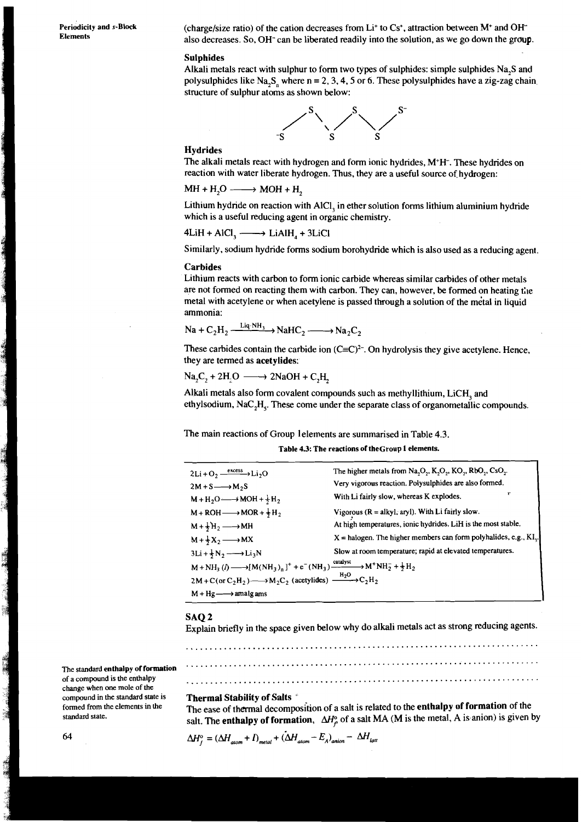Periodicity and s-Block

(charge/size ratio) of the cation decreases from Li<sup>+</sup> to Cs<sup>+</sup>, attraction between M<sup>+</sup> and OH<sup>-</sup> also decreases. So, OH- can be liberated readily into the solution, as we go down the group.

#### Sulphides

Alkali metals react with sulphur to form two types of sulphides: simple sulphides Na,S and polysulphides like Na<sub>3</sub>S<sub>n</sub> where n = 2, 3, 4, 5 or 6. These polysulphides have a zig-zag chain. structure of sulphur atoms as shown below:



#### **Hydrides**

The alkali metals react with hydrogen and form ionic hydrides, M+H-. These hydrides on reaction with water liberate hydrogen. Thus, they are a useful source of hydrogen:

$$
MH + H2O \longrightarrow MOH + H2
$$

Lithium hydride on reaction with AlCl, in ether solution forms lithium aluminium hydride which is a useful reducing agent in organic chemistry.

 $4LiH + AICI_3 \longrightarrow LiAlH_A + 3LiCl$ 

Similarly, sodium hydride forms sodium borohydride which is also used as a reducing agent.

#### Carbides

Lithium reacts with carbon to form ionic carbide whereas similar carbides of other metals are not formed on reacting them with carbon. They can, however, be formed on heating the metal with acetylene or when acetylene is passed through a solution of the metal in liquid ammonia:

$$
\text{Na} + \text{C}_2\text{H}_2 \xrightarrow{\text{Liq}\cdot\text{NH}_3} \text{NaHC}_2 \xrightarrow{\text{Na} \cdot \text{C}_2}
$$

These carbides contain the carbide ion  $(C=C)^{2-}$ . On hydrolysis they give acetylene. Hence, they are termed as acetylides:

 $Na_2C_2 + 2H_2O \longrightarrow 2NaOH + C_2H$ 

 $\overline{1}$   $\overline{1}$   $\overline{1}$   $\overline{1}$   $\overline{1}$   $\overline{1}$   $\overline{1}$   $\overline{1}$   $\overline{1}$   $\overline{1}$   $\overline{1}$   $\overline{1}$   $\overline{1}$   $\overline{1}$   $\overline{1}$   $\overline{1}$   $\overline{1}$   $\overline{1}$   $\overline{1}$   $\overline{1}$   $\overline{1}$   $\overline{1}$   $\overline{1}$   $\overline{1}$   $\overline{$ 

Alkali metals also form covalent compounds such as methyllithium, LiCH, and ethylsodium,  $NaC<sub>2</sub>H<sub>3</sub>$ . These come under the separate class of organometallic compounds.

The main reactions of Group lelements are summarised in Table 4.3.

#### Table 4.3: The reactions of theGroup 1 elements.

| $2Li + O2 \xrightarrow{excess} Li2O$                                                                                                                                                                                              | The higher metals from $Na_2O_2$ , $K_2O_2$ , $KO_2$ , $RbO_2$ , $CsO_2$ .      |
|-----------------------------------------------------------------------------------------------------------------------------------------------------------------------------------------------------------------------------------|---------------------------------------------------------------------------------|
| $2M+S \longrightarrow M_2S$                                                                                                                                                                                                       | Very vigorous reaction. Polysulphides are also formed.                          |
| $M + H_2O \longrightarrow MOH + \frac{1}{2}H_2$                                                                                                                                                                                   | With Li fairly slow, whereas K explodes.                                        |
| $M + ROH \longrightarrow MOR + \frac{1}{2}H_2$                                                                                                                                                                                    | Vigorous $(R = alkyl, aryl)$ . With Li fairly slow.                             |
| $M + \frac{1}{2}H_2 \longrightarrow MH$                                                                                                                                                                                           | At high temperatures, ionic hydrides. LiH is the most stable.                   |
| $M + \frac{1}{2}X_2 \longrightarrow MX$                                                                                                                                                                                           | $X =$ halogen. The higher members can form polyhalides, e.g., KI <sub>1</sub> . |
| $3Li + \frac{1}{2}N_2 \longrightarrow Li_3N$                                                                                                                                                                                      | Slow at room temperature; rapid at elevated temperatures.                       |
| M + NH <sub>3</sub> ( $l$ ) $\longrightarrow$ [M(NH <sub>3</sub> ) <sub>n</sub> ] <sup>+</sup> + e <sup>-</sup> (NH <sub>3</sub> ) $\xrightarrow{\text{cauallyst}}$ M <sup>+</sup> NH <sub>2</sub> + $\frac{1}{2}$ H <sub>2</sub> |                                                                                 |
| $2M + C$ (or C <sub>2</sub> H <sub>2</sub> ) $\longrightarrow$ M <sub>2</sub> C <sub>2</sub> (acetylides) $\xrightarrow{H_2O}$ C <sub>2</sub> H <sub>2</sub>                                                                      |                                                                                 |
| $M + Hg \longrightarrow$ amalg ams                                                                                                                                                                                                |                                                                                 |

#### SAQ 2

Explain briefly in the space given below why do alkali metals act as strong reducing agents.

The standard enthalpy of formation **contained to the entirely of the entirely of formation** of a compound is the enthalpy<br>
change when one mole of the<br>
compound in the standard state is Thermal Stability of Salts <sup>e</sup> compound in the standard state is Thermal Stability of Salts '<br>formed from the elements in the The ease of thermal decompo

formed from the elements in the The ease of thermal decomposition of a salt is related to the **enthalpy of formation** of the standard state. salt. The enthalpy of formation,  $\Delta H_{\rho}^{\circ}$  of a salt MA (M is the metal, A is anion) is given by

 $\Delta H_f^o = (\Delta H_{atom} + I)_{metal} + (\Delta H_{atom} - E_A)_{anion} - \Delta H_{latt}$ 

a la composición de la composición de la composición de la composición de la composición de la composición de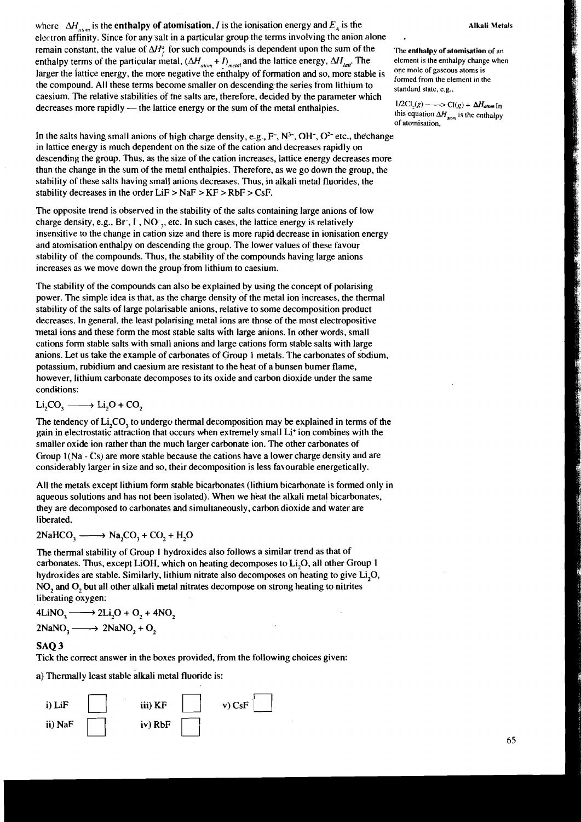#### **Alkali Metals**

where  $\Delta H_{\text{atom}}$  is the enthalpy of atomisation, *I* is the ionisation energy and  $E_{\lambda}$  is the electron affinity. Since for any salt in a particular group the terms involving the anion alone remain constant, the value of  $\Delta H_{\rm r}^{\rm o}$  for such compounds is dependent upon the sum of the enthalpy terms of the particular metal,  $(\Delta H_{a_{\text{com}}} + I)_{\text{metal}}$  and the lattice energy,  $\Delta H_{\text{lat}}$ . The larger the iattice energy, the more negative the enthalpy of formation and so, more stable is the compound. All these terms become smaller on descending the series from lithium to caesium. The relative stabilities of the salts are, therefore, decided by the parameter which decreases more rapidly - the lattice energy or the sum of the metal enthalpies.

In the salts having small anions of high charge density, e.g.,  $F^-$ ,  $N^{3-}$ ,  $OH^-$ ,  $O^{2-}$  etc., the change in lattice energy is much dependent on the size of the cation and decreases rapidly on descending the group. 'Thus, as the size of the cation increases, lattice energy decreases more than the change in the sum of the metal enthalpies. Therefore, as we go down the group, the stability of these salts having small anions decreases. Thus, in alkali metal fluorides, the stability decreases in the order  $LiF > NaF > KF > RbF > CsF$ .

The opposite trend is observed in the stability of the salts containing large anions of low charge density, e.g.,  $Br^-$ ,  $I^-$ ,  $NO^-$ <sub>2</sub>, etc. In such cases, the lattice energy is relatively insensitive to the change in cation size and there is more rapid decrease in ionisation energy and atomisation enthalpy on descending the group. The lower values of these favour stability of the compounds. Thus, the stability of the compounds having large anions increases as we move down the group from lithium to caesium.

The stability of the compounds can also be explained by using the concept of polarising power. The simple idea is that, as the charge density of the metal ion increases, the thermal stability of the salts of large polarisable anions, relative to some decomposition product decreases. In general, the least polarising metal ions are those of the most electropositive metal ions and these form the most stable salts with large anions. In other words, small cations form stable salts with small anions and large cations form stable salts with large anions. Let us take the example of carbonates of Group 1 metals. The carbonates of sodium, potassium, rubidium and caesium are resistant to the heat of a bunsen burner flame, however, lithium carbonate decomposes to its oxide and carbon dioxide under the same conditions:

$$
Li_2CO_3 \longrightarrow Li_2O + CO_2
$$

The tendency of Li<sub>2</sub>CO, to undergo thermal decomposition may be explained in terms of the gain in electrostatic attraction that occurs when extremely small Li' ion combines with the smaller oxide ion rather than the much larger carbonate ion. The other carbonates of Group 1(Na - Cs) are more stable because the cations have a lower charge density and are considerably larger in size and so, their decomposition is less favourable energetically.

All the metals except lithium form stable bicarbonates (lithium bicarbonate is formed only in aqueous solutions and has not been isolated): When we heat the alkali metal bicarbonates, they are decomposed to carbonates and simultaneously, carbon dioxide and water are liberated. aqueous solutions and has not been isola<br>they are decomposed to carbonates and s<br>liberated.<br> $2NaHCO_3 \longrightarrow Na_2CO_3 + CO_2 + H_2O$ 

$$
2NaHCO3 \longrightarrow Na2CO3 + CO2 + H2O
$$

The thermal stability of Group 1 hydroxides also follows a similar trend as that of carbonates. Thus, except LiOH, which on heating decomposes to Li,O, all other Group 1 hydroxides are stable. Similarly, lithium nitrate also decomposes on heating to give Li,O, NO, and 0, but all other alkali metal nitrates decompose on strong heating to nitrites liberating oxygen:

 $4\text{LiNO}_3 \longrightarrow 2\text{Li}_2\text{O} + \text{O}_2 + 4\text{NO}_2$  $2NaNO<sub>3</sub> \longrightarrow 2NaNO<sub>2</sub> + O<sub>2</sub>$ 

#### SAQ 3

Tick the correct answer in the boxes provided, from the following choices given:

a) Thermally least stable alkali metal fluoride is:



**The enthalpy of atomisation** of an element is the enthalpy change when one mole of gaseous atoms is formed from the element in the standard state, e.g.,

 $1/2\text{Cl}_{2}(g)$  —— $>$   $\text{Cl}(g)$  +  $\Delta H_{atom}$  In this equation  $\Delta H_{\text{atom}}$  is the enthalpy of atomisation.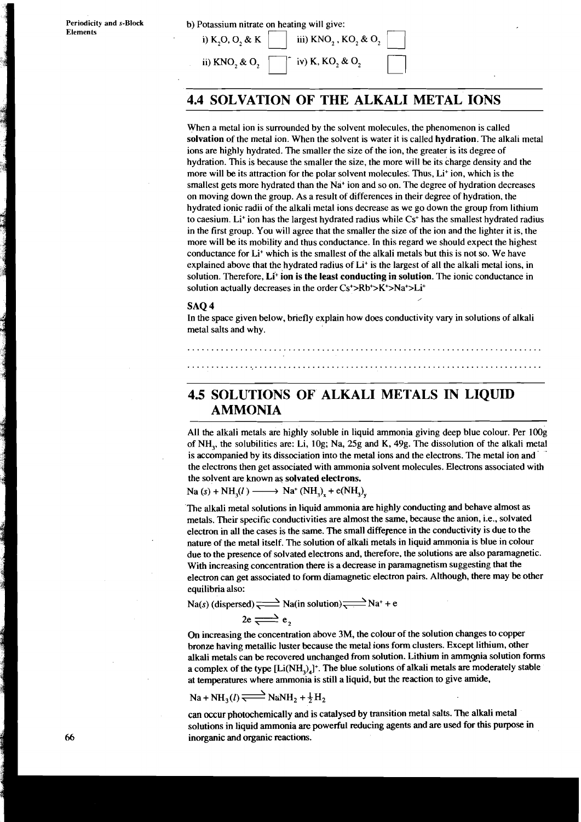# b) Potassium nitrate on  $\frac{1}{\text{ln}}$ otassium nitrate on heating will give:<br>i)  $K_2O$ ,  $O_2$  & K  $\Box$  iii)  $\text{KNO}_2$ ,  $\text{KO}_2$  &  $\text{O}_2$

i) K<sub>2</sub>O, O<sub>2</sub> & K iii) KNO<sub>2</sub>, KO<sub>2</sub> & O<sub>2</sub> 1<br>iii) KNO<sub>2</sub> & O<sub>2</sub> 1- iv) K, KO<sub>2</sub> & O<sub>2</sub>

### **4.4 SOLVATION OF THE ALKALI METAL IONS**

When a metal ion is surrounded by the solvent molecules, the phenomenon is called solvation of the metal ion. When the solvent is water it is called hydration. The alkali metal ions are highly hydrated. The smaller the size of the ion, the greater is its degree of hydration. This is because the smaller the size, the more will be its charge density and the more will be its attraction for the polar solvent molecules. Thus, Li<sup>+</sup> ion, which is the smallest gets more hydrated than the  $Na<sup>+</sup>$  ion and so on. The degree of hydration decreases on moving down the group. As a result of differences in their degree of hydration, the hydrated ionic radii of the alkali metal ions decrease as we go down the group from lithium to caesium. Li<sup>+</sup> ion has the largest hydrated radius while  $Cs<sup>+</sup>$  has the smallest hydrated radius in the first group. You will agree that the smaller the size of the ion and the lighter it is, the more will be its mobility and thus conductance. In this regard we should expect the highest conductance for Li<sup>+</sup> which is the smallest of the alkali metals but this is not so. We have explained above that the hydrated radius of Li+ is the largest of all the alkali metal ions, in solution. Therefore, Li<sup>+</sup> ion is the least conducting in solution. The ionic conductance in solution actually decreases in the order Cs<sup>+</sup>>Rb<sup>+</sup>>K<sup>+</sup>>Na<sup>+</sup>>Li<sup>+</sup><br>SAQ 4 solution actually decreases in the order Cs<sup>+</sup>>Rb<sup>+</sup>>K<sup>+</sup>>Na<sup>+</sup>>Li<sup>+</sup>

In the space given below, briefly explain how does conductivity vary in solutions of alkali metal salts and why.

### **4.5 SOLUTIONS OF ALKALI METALS IN LIQUID AMMONIA**

All the alkali metals are highly soluble in liquid ammonia giving deep blue colour. Per lOOg of NH,, the solubilities are: Li, log; Na, 25g and K, 49g. The dissolution of the alkali metal is accompanied by its dissociation into the metal ions and the electrons. The metal ion and the electrons then get associated with ammonia solvent molecules. Electrons associated with the solvent **are** known as solvated electrons. is accompanied by its dissociation into the meta<br>the electrons then get associated with ammonia<br>the solvent are known as solvated electrons.<br>Na (s) + NH<sub>3</sub>(l) — Na<sup>+</sup> (NH<sub>3</sub>)<sub>x</sub> + e(NH<sub>3</sub>)<sub>y</sub>

The alkali metal solutions in liquid ammonia **are** highly conducting and behave almost as metals. Their specific conductivities are almost the same, because the anion, i.e., solvated electron in all the cases is the same. The small difference in the conductivity is due to the nature of the metal itself. The solution of alkali metals in liquid ammonia is blue in colour due to the presence of solvated electrons and, therefore, the solutions **are** also paramagnetic. With increasing concentration there is a decrease in paramagnetism suggesting that the electron can get associated to form diamagnetic electron pairs. Although, there may be other equilibria also:

 $Na(s)$  (dispersed)  $\rightleftharpoons Na(in solution)$  $\rightleftharpoons Na^+ + e^-$ 

$$
2e \rightleftharpoons e
$$
,

On increasing the concentration above **3M,** the colour of the solution changes to copper bronze having metallic luster because the metal ions form clusters. Except lithium, other alkali metals can be recovered unchanged from solution. Lithium in ammonia solution forms a complex of the type [Li(NH,),]+. The blue solutions of alkali metals **are** moderately stable at temperatures where ammonia is still a liquid, but the reaction to give amide,

$$
Na + NH3(l) \rightleftharpoons NaNH2 + \frac{1}{2}H2
$$

can occur photochemically and is catalysed by transition metal salts. The alkali metal solutions in liquid ammonia **are** powerful reducing agents and **are** used for this purpose in inorganic and organic reactions.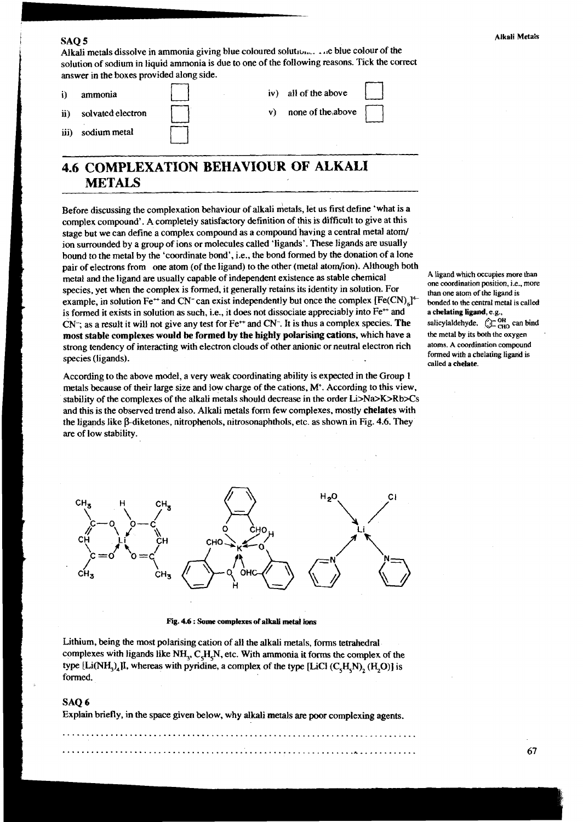#### SAQ 5

Alkali metals dissolve in ammonia giving blue coloured solution... . ..e blue colour of the solution of sodium in liquid ammonia is due to one of the following reasons. Tick the correct answer in the boxes provided along side.



### **4.6 COMPLEXATION BEHAVIOUR OF ALKALI METALS**

Before discussing the complexation behaviour of alkali metals, let us first define 'what is a complex compound'. A completely satisfactory definition of this is difficult to give at this stage but we can define a complex compound as a compound having a central metal atom/ ion surrounded by a group of ions or molecules called 'ligands'. These ligands are usually bound to the metal by the 'coordinate bond', i.e., the bond formed by the donation of a lone pair of electrons from one atom (of the ligand) to the other (metal atom/ion). Although both metal and the ligand are usually capable of independent existence as stable chemical A ligand which occupies more than <br>one coordination position. i.e., more species, yet when the complex is formed, it generally retains its identity in solution. For than one atom of the ligand is example, in solution  $Fe^{++}$  and  $CN^-$  can exist independently but once the complex  $[Fe(CN)_6]^{\text{4}}$  b example, in solution Fe<sup>++</sup> and CN<sup>-</sup> can exist independently but once the complex [Fe(CN)<sub>4</sub>]<sup>4-</sup> is formed it exists in solution as such, i.e., it does not dissociate appreciably into Fe<sup>++</sup> and a chelating ligand, e.g.,  $CN^-$ ; as a result it will not give any test for Fe<sup>++</sup> and CN<sup>-</sup>. It is thus a complex species. T CN<sup>-</sup>; as a result it will not give any test for Fe<sup>++</sup> and CN<sup>-</sup>. It is thus a complex species. **The** salicylaldehyde,  $\bigoplus_{CH_0}^{CH_0}$  can big **most stable complexes would be formed by the highly polarising cations, whi most stable complexes would be formed by the highly polarising cations, which have a** strong tendency of interacting with electron clouds of other anionic or neutral electron rich atoms. A coordination compound species (ligands). *formed with a chelating ligand is*  $\frac{1}{2}$  and  $\frac{1}{2}$  and  $\frac{1}{2}$  and  $\frac{1}{2}$  and  $\frac{1}{2}$  and  $\frac{1}{2}$  and  $\frac{1}{2}$  and  $\frac{1}{2}$  and  $\frac{1}{2}$  and  $\frac{1}{2}$  and  $\frac{1}{2}$  and  $\frac{1}{2}$  a

According to the above model, a very weak coordinating ability is expected in the Group 1 metals because of their large size and low charge of the cations, **M+.** According to this view, stability of the complexes of the alkali metals should decrease in the order Li>Na>K>Rb>Cs and this is the observed trend also. Alkali metals form few complexes, mostly **chelates** with the ligands like  $\beta$ -diketones, nitrophenols, nitrosonaphthols, etc. as shown in Fig. 4.6. They are of low stability.

**called a chelate.** 

-





Lithium, being the most polarising cation of all the alkali metals, forms tetrahedral complexes with ligands like NH<sub>3</sub>, C<sub>2</sub>H<sub>5</sub>N, etc. With ammonia it forms the complex of the  $t$ ype  $[Li(NH_1)_4]$ , whereas with pyridine, a complex of the type  $[LiC1(C,H,N), (H,O)]$  is formed.

#### SAO<sub>6</sub>

Explain briefly, in the space given below, why alkali metals **are** poor complexing agents.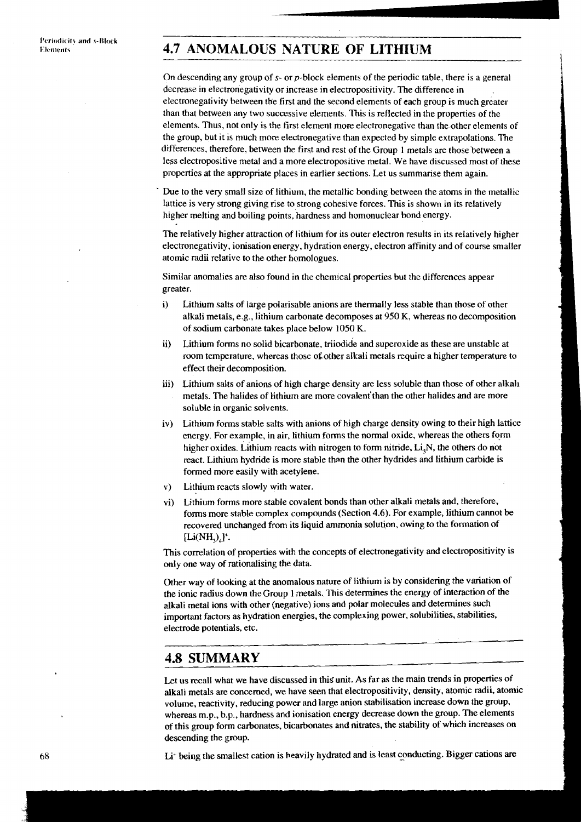## **4.7 ANOMALOUS NATURE OF LITHIUM**

On descending any group of s- or p-block elements of the periodic table, there is a general decrease in electronegativity or increase in electropositivity. The difference in electronegativity between the first and the second elements of each group is much greater than that between any two successive elements. This is reflected in the properties of the elements. Thus, not only is the first element more electronegative than the.other elements of the group, but it is much more electronegative than expected by simple extrapolations. The differences, therefore, between the first and rest of the Group 1 metals are those between a less electropositive metal and a more electropositive metal. We have discussed most of these properties at the appropriate places in earlier sections. Let us summarise them again.

Due to the very small size of lithium, the metallic bonding between the atoms in the metallic lattice is very strong giving rise to strong cohesive forces. This is shown in its relatively higher melting and boiling points, hardness and homonuclear bond energy.

The relatively higher attraction of lithium for its outer electron results in its relatively higher electronegativity, ionisation energy, hydration energy, electron affinity and of course smaller atomic radii relative to the other homologues.

Similar anomalies are also found in the chemical properties but the differences appear greater.

- i) Lithium salts of large polarisable anions are thermally less stable than those of other alkali metals, e.g., lithium carbonate decomposes at 950 K, whereas no decomposition of sodium carbonate takes place below 1050 K.
- ii) Lithium forms no solid bicarbonate, triiodide and superoxide as these are unstable at room temperature, whereas those of other alkali metals require a higher temperature to effect their decomposition.
- iii) Lithium salts of anions of high charge density are less soluble than those of other alkali metals. The halides of lithium are more covalent'than the other halides and are more soluble in organic solvents.
- iv) Lithium forms stable salts with anions of high charge density owing to their high lattice energy. For example, in air, lithium forms the normal oxide, whereas the others form higher oxides. Lithium reacts with nitrogen to form nitride,  $Li<sub>3</sub>N$ , the others do not react. Lithium hydride is more stable than the other hydrides and lithium carbide is formed more easily with acetylene.
- V) Lithium reacts slowly with water.
- vi) Lithium forms more stable covalent bonds than other alkali metals and, therefore, forms more stable complex compounds (Section 4.6). For example, lithium cannot be recovered unchanged from its liquid ammonia solution, owing to the formation of  $[Li(NH<sub>2</sub>)<sub>i</sub>$ <sup>+</sup>.

This correlation of properties with the concepts of electronegativity and electropositivity is only one way of rationalising the data.

Other way of looking at the anomalous nature of lithium is by considering the variation of the ionic radius down theGroup 1 metals. This determines the energy of interaction of the alkali metal ions with other (negative) ions and polar molecules and determines such important factors as hydration energies, the complexing power, solubilities, stabilities, electrode potentials, etc.

### **4.8 SUMMARY**

Let us recall what we have discussed in this unit. As far as the main trends in properties of alkali metals are concerned, we have seen that electropositivity, density, atomic radii, atomic volume, reactivity, reducing power and large anion stabilisation increase down the group, whereas m.p., b.p., hardness and ionisation energy decrease down the group. The elements of this group form carbonates, bicarbonates and nitrates, the stability of which increases on descending the group.

68 Li' being the smallest cation is heavily hydrated and is least conducting. Bigger cations are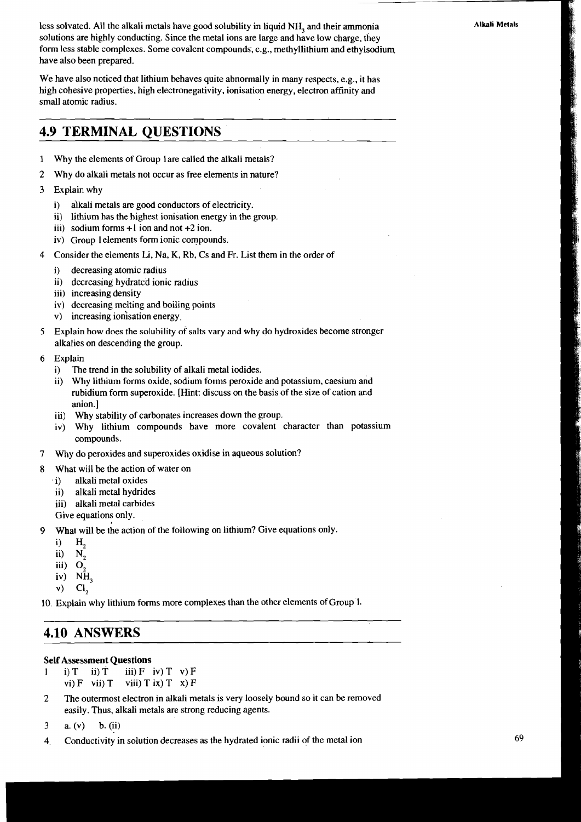less solvated. All the alkali metals have good solubility in liquid NH, and their ammonia solutions are highly conducting. Since the metal ions are large and have low charge, they form less stable complexes. Some covalent compounds; e.g., methyllithium and ethylsodium have also been prepared.

We have also noticed that lithium behaves quite abnormally in many respects, e.g., it has high cohesive properties, high electronegativity, ionisation energy, electron affinity and small atomic radius.

### **4.9 TERMINAL QUESTIONS**

- **1** Why the elements of Group 1 are called the alkali metals?
- 2 Why do alkali metals not occur as free elements in nature?
- 3 Explain why
	- i) alkali metals are good conductors of electricity.
	- ii) lithium has the highest ionisation energy in the group.
	- iii) sodium forms +1 ion and not +2 ion.
	- iv) Group l elements form ionic compounds.
- 4 Consider the elements Li, Na, K, Rb, Cs and Fr. List them in the order of
	- i) decreasing atomic radius
	- ii) decreasing hydrated ionic radius
	- iii) increasing density
	- iv) decreasing melting and boiling points
	- V) increasing ionisation energy.
- 5 Explain how does the solubility of salts vary and why do hydroxides become stronger alkalies on descending the group.
- 6 Explain
	- i) The trend in the solubility of alkali metal iodides.
	- ii) Why lithium forms oxide, sodium forms peroxide and potassium, caesium and rubidium form superoxide. [Hint: discuss on the basis of the size of cation and anion.]
	- iii) Why stability of carbonates increases down the group.
	- iv) Why lithium compounds have more covalent character than potassium compounds.
- 7 Why do peroxides and superoxides oxidise in aqueous solution?
- **8** What will be the action of water on
	- i) alkali metal oxides
	- ii) alkali metal hydrides
	- iii) alkali metal carbides
	- Give equations only.
- **9** What will be the action of the following on lithium? Give equations only.
	- - i)  $H_2$ <br>ii)  $N_2$  $N_{2}$
		- $iii)$   $O<sub>2</sub>$
		- iv) NH,
		- $v)$  Cl<sub>2</sub>

10 Explain why lithium forms more complexes than the other elements of Group 1.

### **4.10 ANSWERS**

#### Self Assessment Questions

1 i) T ii) T iii) F iv) T v) F vi)  $F$  vii)  $T$  viii)  $T$  ix)  $T$  x)  $F$ 

**2** The outermost electron in alkali metals is very loosely bound so it can be removed easily. Thus, alkali metals are strong reducing agents.

**4** Conductivity in solution decreases as the hydrated ionic radii of the metal ion

<sup>3</sup> a. (v) b. (ii)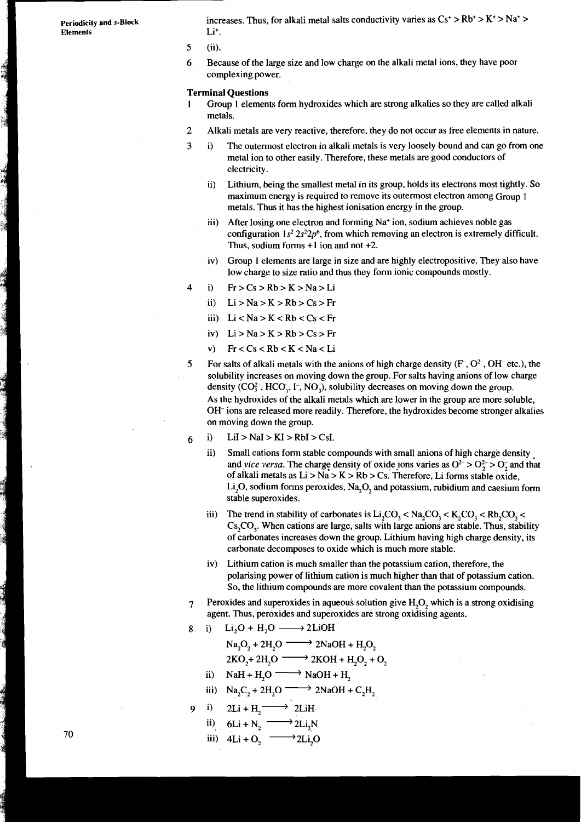$E$ lements

**Periodicity and s-Block** increases. Thus, for alkali metal salts conductivity varies as  $Cs^+ > Rb^+ > K^+ > Na^+ >$ <br>Elements

- **5** (ii).
- 6 Because of the large size and low charge on the alkali metal ions, they have poor complexing power.

#### **Terminal Questions**

- 1 Group 1 elements form hydroxides which are strong alkalies so they are called alkali metals.
- 2 Alkali metals are very reactive, therefore, they do not occur as free elements in nature.
- **3** i) The outermost electron in alkali metals is very loosely bound and can go from one metal ion to other easily. Therefore, these metals are good conductors of electricity.
	- ii) Lithium, being the smallest metal in its group, holds its electrons most tightly. So maximum energy is required to remove its outermost electron among Group 1 metals. Thus it has the highest ionisation energy in the group.
	- iii) After losing one electron and forming  $Na<sup>+</sup>$  ion, sodium achieves noble gas configuration  $1s^2 2s^2 2p^6$ , from which removing an electron is extremely difficult. Thus, sodium forms  $+1$  ion and not  $+2$ .
	- iv) Group 1 elements are large in size and are highly electropositive. They also have low charge to size ratio and thus they form ionic compounds mostly.
- 4 i)  $Fr > Cs > Rb > K > Na > Li$ 
	- ii)  $Li > Na > K > Rb > Cs > Fr$
	- iii)  $Li < Na > K < Rb < Cs < Fr$
	- iv) Li>Na>K>Rb>Cs>Fr
	- v)  $Fr < Cs < Rb < K < Na < Li$
- **5** For salts of alkali metals with the anions of high charge density  $(F, O^2, OH^-$  etc.), the solubility increases on moving down the group. For salts having anions of low charge density  $(CO_3^2$ , HCO<sub>3</sub>, I<sup>-</sup>, NO<sub>3</sub>), solubility decreases on moving down the group. As the hydroxides of the alkali metals which are lower in the group are more soluble, OH- ions are released more readily. Therefore, the hydroxides become stronger alkalies on moving down the group.
- $6$  i) LiI > NaI > KI > RbI > CsI.
	- ii) Small cations form stable compounds with small anions of high charge density and *vice versa*. The charge density of oxide ions varies as  $O^{2-} > O_2^2 > O_2^-$  and that of alkali metals as  $Li > Na > K > Rb > Cs$ . Therefore, Li forms stable oxide, Li<sub>2</sub>O, sodium forms peroxides, Na<sub>2</sub>O<sub>2</sub> and potassium, rubidium and caesium form stable superoxides.
	- iii) The trend in stability of carbonates is  $Li<sub>2</sub>CO<sub>3</sub> < Na<sub>3</sub>CO<sub>3</sub> < K<sub>4</sub>CO<sub>3</sub> < Rh<sub>3</sub>CO<sub>3</sub> < dh<sub>3</sub> < H<sub>4</sub> < H<sub>5</sub>CO<sub>3</sub> < dh<sub>4</sub> < H<sub>5</sub> < H<sub>6</sub> < H<sub>7</sub> < H<sub>8</sub> < H<sub>9</sub> < H<sub>9</sub> < H<sub>1</sub> <$  $Cs<sub>3</sub>CO<sub>3</sub>$ . When cations are large, salts with large anions are stable. Thus, stability of carbonates increases down the group. Lithium having high charge density, its carbonate decomposes to oxide which is much more stable.
	- iv) Lithium cation is much smaller than the potassium cation, therefore, the polarising power of lithium cation is much higher than that of potassium cation. So, the lithium compounds are more covalent than the potassium compounds. polarising power of lithium cation is n<br>So, the lithium compounds are more c<br>xides and superoxides in aqueous solut<br>t. Thus, peroxides and superoxides are<br> $Li_2O + H_2O \longrightarrow 2LiOH$ <br> $Na_2O_2 + 2H_2O \longrightarrow 2NaOH + H_2O_2$ <br> $2KO_2 + 2H_2O \longrightarrow 2KOH +$
- **7** Peroxides and superoxides in aqueous solution give H,O, which is a strong oxidising agent. Thus, peroxides and superoxides are strong oxidising agents. So, the lithium compounds are more coval<br>
xides and superoxides in aqueous solution<br>
t. Thus, peroxides and superoxides are stro<br>
Li<sub>2</sub>O + H<sub>2</sub>O -----> 2LiOH<br>
Na<sub>2</sub>O<sub>2</sub> + 2H<sub>2</sub>O -----> 2NaOH + H<sub>2</sub>O<sub>2</sub><br>
2KO<sub>2</sub> + 2H<sub>2</sub>O --Peroxides and superoxides in aqueous<br>agent. Thus, peroxides and superoxide<br>i) Li<sub>2</sub>O + H<sub>2</sub>O - 2LiOH<br>Na<sub>2</sub>O<sub>2</sub> + 2H<sub>2</sub>O - 2NaOH +<br>2KO<sub>2</sub>+ 2H<sub>2</sub>O - 2KOH + H<sub>2</sub><br>iii) NaH + H<sub>2</sub>O - 2NaOH + H<sub>2</sub><br>iii) Na<sub>2</sub>C<sub>2</sub> + 2H<sub>2</sub>O - 2NaO
- 
- 8ii) Li<sub>2</sub>O + H<sub>2</sub>O 2LiOH<br>Na<sub>2</sub>O<sub>2</sub> + 2H<sub>2</sub>O 2NaOH + H<sub>2</sub>O<sub>2</sub> i) Li<sub>2</sub>O + H<sub>2</sub>O - 2LiOH<br>
Na<sub>2</sub>O<sub>2</sub> + 2H<sub>2</sub>O - 2NaOH + H<sub>2</sub>O<sub>2</sub><br>
2KO<sub>2</sub>+ 2H<sub>2</sub>O - 2NaOH + H<sub>2</sub>O<sub>2</sub> + C<br>
ii) NaH + H<sub>2</sub>O - NaOH + H<sub>2</sub><br>
iii) Na<sub>2</sub>C<sub>2</sub> + 2H<sub>2</sub>O - 2NaOH + C<sub>2</sub>H<sub>2</sub><br>
ii) 2Li + H. - 2LiH

- 
- ii) NaH + H<sub>2</sub>O  $\longrightarrow$  NaOH + H<sub>2</sub><br>iii) Na<sub>2</sub>C<sub>2</sub> + 2H<sub>2</sub>O  $\longrightarrow$  2NaOH + C<sub>2</sub>H<sub>2</sub><br>i) 2Li + H<sub>2</sub>  $\longrightarrow$  2LiH<br>ii) 6Li + N<sub>2</sub>  $\longrightarrow$  2Li<sub>3</sub>N
- 9 i)  $2Li + H_2 \longrightarrow 2LiH$ 
	-
	- iii)  $4Li + O$ ,  $\longrightarrow$  2Li<sub>2</sub>O

70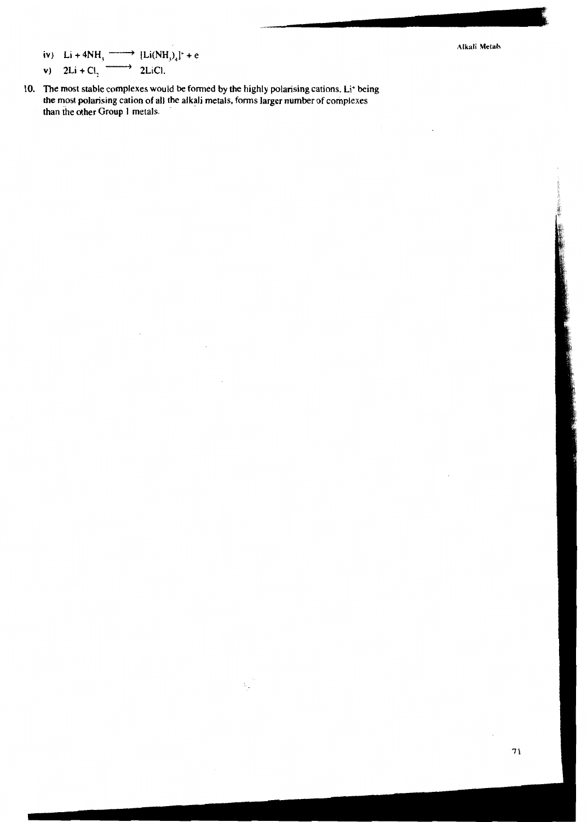iv) 
$$
Li + 4NH_3 \longrightarrow [Li(NH_3)_4]^+ + e
$$
\nvi)  $2Li + Cl_3 \longrightarrow 2LiCl.$ 

**10. The most stable complexes would be formed by the highly polarising cations. Li+ being the most polarising cation of all the alkali metals, forms larger number of complexes than the other Group 1 metals.** 

 $\mathbb{Z}_2$